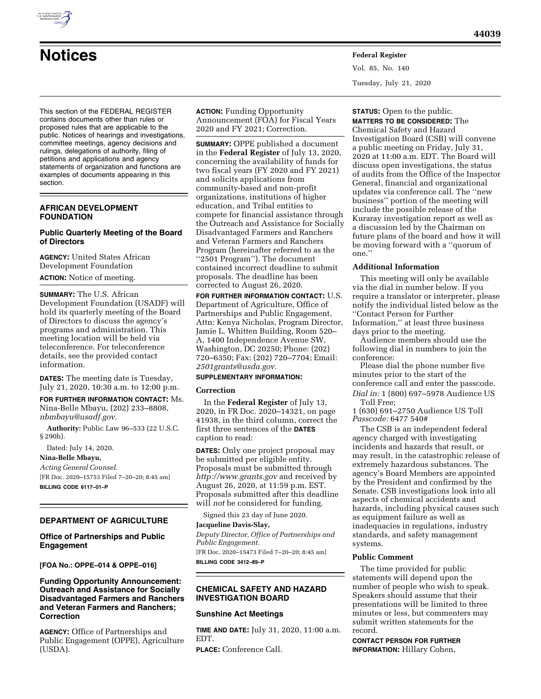

# **Notices Federal Register**

This section of the FEDERAL REGISTER contains documents other than rules or proposed rules that are applicable to the public. Notices of hearings and investigations, committee meetings, agency decisions and rulings, delegations of authority, filing of petitions and applications and agency statements of organization and functions are examples of documents appearing in this section.

## **AFRICAN DEVELOPMENT FOUNDATION**

# **Public Quarterly Meeting of the Board of Directors**

**AGENCY:** United States African Development Foundation

**ACTION:** Notice of meeting.

**SUMMARY:** The U.S. African Development Foundation (USADF) will hold its quarterly meeting of the Board of Directors to discuss the agency's programs and administration. This meeting location will be held via teleconference. For teleconference details, see the provided contact information.

**DATES:** The meeting date is Tuesday, July 21, 2020, 10:30 a.m. to 12:00 p.m.

**FOR FURTHER INFORMATION CONTACT:** Ms. Nina-Belle Mbayu, (202) 233–8808, *[nbmbayu@usadf.gov.](mailto:nbmbayu@usadf.gov)* 

**Authority:** Public Law 96–533 (22 U.S.C. § 290h).

Dated: July 14, 2020.

**Nina-Belle Mbayu,**  *Acting General Counsel.*  [FR Doc. 2020–15753 Filed 7–20–20; 8:45 am] **BILLING CODE 6117–01–P** 

#### **DEPARTMENT OF AGRICULTURE**

## **Office of Partnerships and Public Engagement**

#### **[FOA No.: OPPE–014 & OPPE–016]**

## **Funding Opportunity Announcement: Outreach and Assistance for Socially Disadvantaged Farmers and Ranchers and Veteran Farmers and Ranchers; Correction**

**AGENCY:** Office of Partnerships and Public Engagement (OPPE), Agriculture (USDA).

**ACTION:** Funding Opportunity Announcement (FOA) for Fiscal Years 2020 and FY 2021; Correction.

**SUMMARY:** OPPE published a document in the **Federal Register** of July 13, 2020, concerning the availability of funds for two fiscal years (FY 2020 and FY 2021) and solicits applications from community-based and non-profit organizations, institutions of higher education, and Tribal entities to compete for financial assistance through the Outreach and Assistance for Socially Disadvantaged Farmers and Ranchers and Veteran Farmers and Ranchers Program (hereinafter referred to as the ''2501 Program''). The document contained incorrect deadline to submit proposals. The deadline has been corrected to August 26, 2020.

**FOR FURTHER INFORMATION CONTACT:** U.S. Department of Agriculture, Office of Partnerships and Public Engagement, Attn: Kenya Nicholas, Program Director, Jamie L. Whitten Building, Room 520– A, 1400 Independence Avenue SW, Washington, DC 20250; Phone: (202) 720–6350; Fax: (202) 720–7704; Email: *[2501grants@usda.gov.](mailto:2501grants@usda.gov)* 

#### **SUPPLEMENTARY INFORMATION:**

#### **Correction**

In the **Federal Register** of July 13, 2020, in FR Doc. 2020–14321, on page 41938, in the third column, correct the first three sentences of the **DATES** caption to read:

**DATES:** Only one project proposal may be submitted per eligible entity. Proposals must be submitted through *<http://www.grants.gov>*and received by August 26, 2020, at 11:59 p.m. EST. Proposals submitted after this deadline will *not* be considered for funding.

Signed this 23 day of June 2020. **Jacqueline Davis-Slay,** 

*Deputy Director, Office of Partnerships and Public Engagement.* 

[FR Doc. 2020–15473 Filed 7–20–20; 8:45 am] **BILLING CODE 3412–89–P** 

# **CHEMICAL SAFETY AND HAZARD INVESTIGATION BOARD**

#### **Sunshine Act Meetings**

**TIME AND DATE:** July 31, 2020, 11:00 a.m. EDT.

**PLACE:** Conference Call.

**STATUS:** Open to the public. **MATTERS TO BE CONSIDERED:** The

Vol. 85, No. 140

Tuesday, July 21, 2020

Chemical Safety and Hazard Investigation Board (CSB) will convene a public meeting on Friday, July 31, 2020 at 11:00 a.m. EDT. The Board will discuss open investigations, the status of audits from the Office of the Inspector General, financial and organizational updates via conference call. The ''new business'' portion of the meeting will include the possible release of the Kuraray investigation report as well as a discussion led by the Chairman on future plans of the board and how it will be moving forward with a ''quorum of one.''

#### **Additional Information**

This meeting will only be available via the dial in number below. If you require a translator or interpreter, please notify the individual listed below as the ''Contact Person for Further Information,'' at least three business days prior to the meeting.

Audience members should use the following dial in numbers to join the conference:

Please dial the phone number five minutes prior to the start of the conference call and enter the passcode. *Dial in:* 1 (800) 697–5978 Audience US Toll Free;

1 (630) 691–2750 Audience US Toll *Passcode:* 6477 540#

The CSB is an independent federal agency charged with investigating incidents and hazards that result, or may result, in the catastrophic release of extremely hazardous substances. The agency's Board Members are appointed by the President and confirmed by the Senate. CSB investigations look into all aspects of chemical accidents and hazards, including physical causes such as equipment failure as well as inadequacies in regulations, industry standards, and safety management systems.

#### **Public Comment**

The time provided for public statements will depend upon the number of people who wish to speak. Speakers should assume that their presentations will be limited to three minutes or less, but commenters may submit written statements for the record.

**CONTACT PERSON FOR FURTHER INFORMATION:** Hillary Cohen,